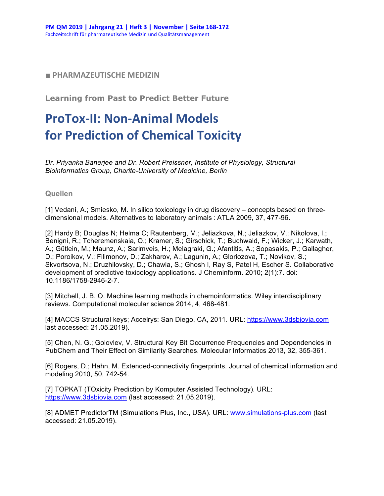## ■ PHARMAZEUTISCHE MEDIZIN

**Learning from Past to Predict Better Future**

## **ProTox-II: Non-Animal Models for Prediction of Chemical Toxicity**

*Dr. Priyanka Banerjee and Dr. Robert Preissner, Institute of Physiology, Structural Bioinformatics Group, Charite-University of Medicine, Berlin*

## **Quellen**

[1] Vedani, A.; Smiesko, M. In silico toxicology in drug discovery – concepts based on threedimensional models. Alternatives to laboratory animals : ATLA 2009, 37, 477-96.

[2] Hardy B; Douglas N; Helma C; Rautenberg, M.; Jeliazkova, N.; Jeliazkov, V.; Nikolova, I.; Benigni, R.; Tcheremenskaia, O.; Kramer, S.; Girschick, T.; Buchwald, F.; Wicker, J.; Karwath, A.; Gütlein, M.; Maunz, A.; Sarimveis, H.; Melagraki, G.; Afantitis, A.; Sopasakis, P.; Gallagher, D.; Poroikov, V.; Filimonov, D.; Zakharov, A.; Lagunin, A.; Gloriozova, T.; Novikov, S.; Skvortsova, N.; Druzhilovsky, D.; Chawla, S.; Ghosh I, Ray S, Patel H, Escher S. Collaborative development of predictive toxicology applications. J Cheminform. 2010; 2(1):7. doi: 10.1186/1758-2946-2-7.

[3] Mitchell, J. B. O. Machine learning methods in chemoinformatics. Wiley interdisciplinary reviews. Computational molecular science 2014, 4, 468-481.

[4] MACCS Structural keys; Accelrys: San Diego, CA, 2011. URL: https://www.3dsbiovia.com last accessed: 21.05.2019).

[5] Chen, N. G.; Golovlev, V. Structural Key Bit Occurrence Frequencies and Dependencies in PubChem and Their Effect on Similarity Searches. Molecular Informatics 2013, 32, 355-361.

[6] Rogers, D.; Hahn, M. Extended-connectivity fingerprints. Journal of chemical information and modeling 2010, 50, 742-54.

[7] TOPKAT (TOxicity Prediction by Komputer Assisted Technology). URL: https://www.3dsbiovia.com (last accessed: 21.05.2019).

[8] ADMET PredictorTM (Simulations Plus, Inc., USA). URL: www.simulations-plus.com (last accessed: 21.05.2019).